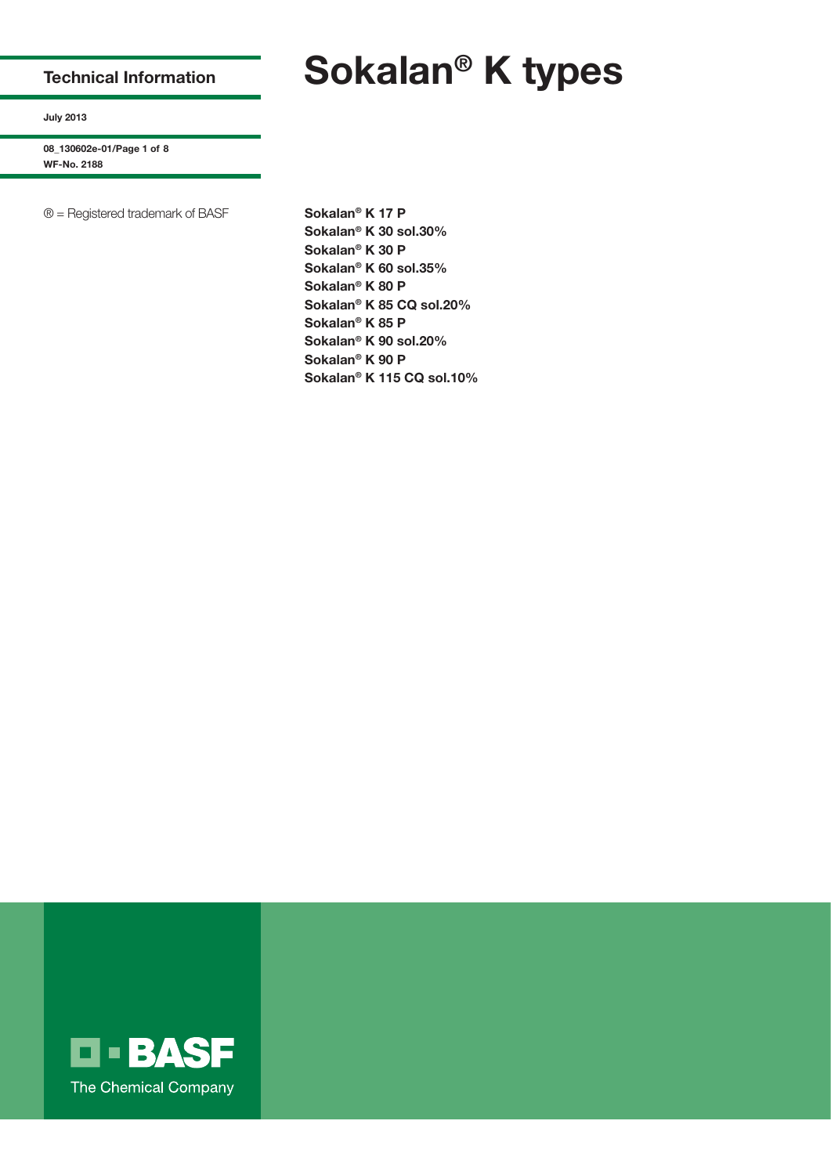## **Technical Information**

### **July 2013**

**08\_130602e-01/Page 1 of 8 WF-No. 2188**

® = Registered trademark of BASF **Sokalan® K 17 P**

**Sokalan® K 30 sol.30% Sokalan® K 30 P Sokalan® K 60 sol.35% Sokalan® K 80 P Sokalan® K 85 CQ sol.20% Sokalan® K 85 P Sokalan® K 90 sol.20% Sokalan® K 90 P Sokalan® K 115 CQ sol.10%**



# **Sokalan® K types**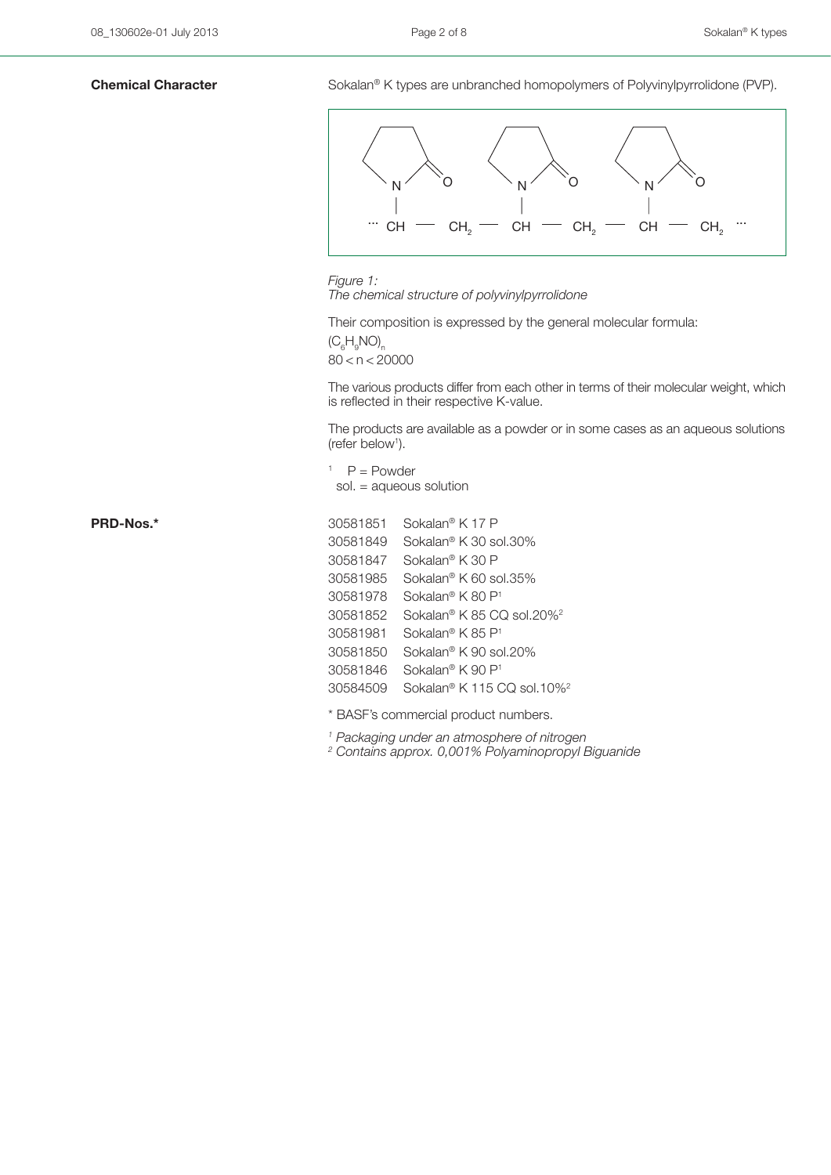**Chemical Character** Sokalan<sup>®</sup> K types are unbranched homopolymers of Polyvinylpyrrolidone (PVP).



*Figure 1: The chemical structure of polyvinylpyrrolidone*

Their composition is expressed by the general molecular formula:

 $(C_6H_9NO)$ <sub>n</sub>  $80 < n < 20000$ 

The various products differ from each other in terms of their molecular weight, which is reflected in their respective K-value.

The products are available as a powder or in some cases as an aqueous solutions (refer below<sup>1</sup>).

 $P = Power$ sol. = aqueous solution

PRD-Nos.\*

| 30581851 | Sokalan® K 17 P                                    |
|----------|----------------------------------------------------|
| 30581849 | Sokalan <sup>®</sup> K 30 sol.30%                  |
| 30581847 | Sokalan® K 30 P                                    |
| 30581985 | Sokalan® K 60 sol.35%                              |
| 30581978 | Sokalan® K 80 P <sup>1</sup>                       |
| 30581852 | Sokalan® K 85 CO sol.20% <sup>2</sup>              |
| 30581981 | Sokalan® K 85 P1                                   |
| 30581850 | Sokalan® K 90 sol.20%                              |
| 30581846 | Sokalan® K 90 P1                                   |
| 30584509 | Sokalan <sup>®</sup> K 115 CQ sol.10% <sup>2</sup> |
|          |                                                    |

\* BASF's commercial product numbers.

*1 Packaging under an atmosphere of nitrogen*

*2 Contains approx. 0,001% Polyaminopropyl Biguanide*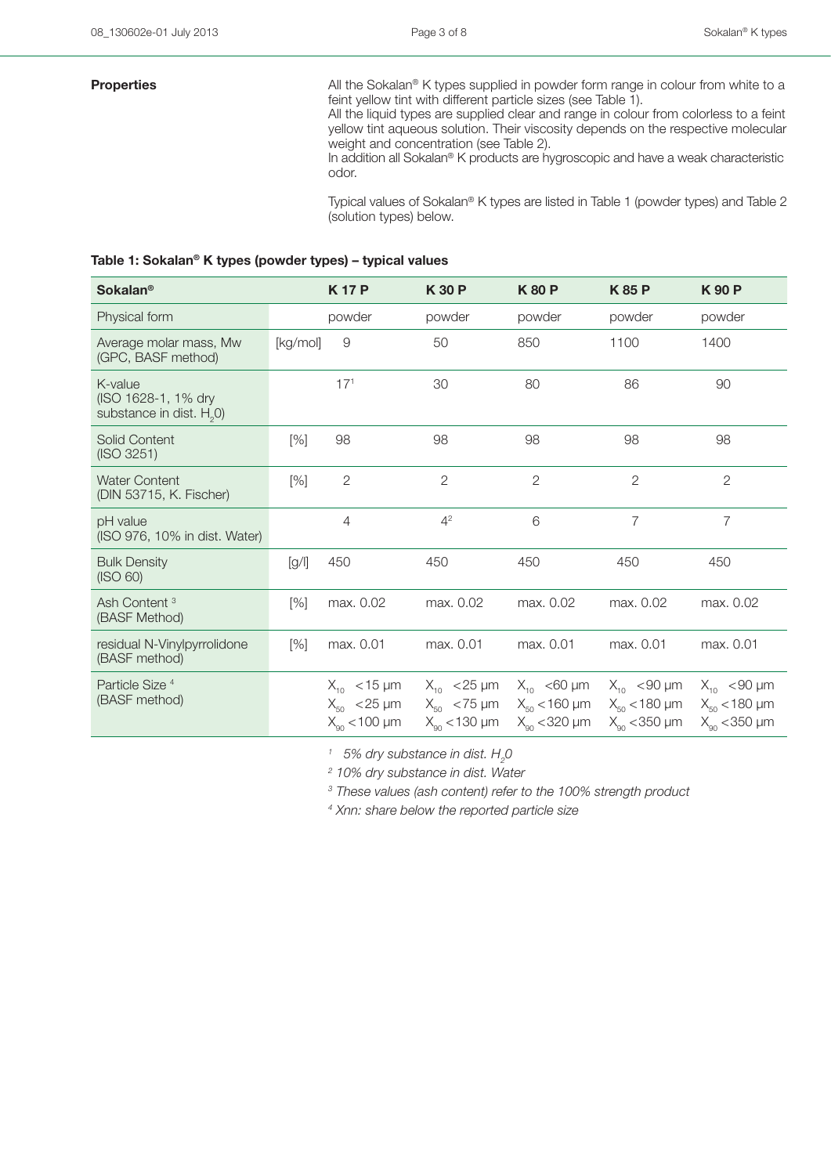**Properties** All the Sokalan<sup>®</sup> K types supplied in powder form range in colour from white to a feint yellow tint with different particle sizes (see Table 1).

All the liquid types are supplied clear and range in colour from colorless to a feint yellow tint aqueous solution. Their viscosity depends on the respective molecular weight and concentration (see Table 2).

In addition all Sokalan® K products are hygroscopic and have a weak characteristic odor.

Typical values of Sokalan® K types are listed in Table 1 (powder types) and Table 2 (solution types) below.

### **Table 1: Sokalan® K types (powder types) – typical values**

| <b>Sokalan®</b>                                                        |          | <b>K17P</b>                                                    | <b>K30P</b>                                                   | <b>K80P</b>                                                   | <b>K85P</b>                                                    | <b>K90P</b>                                                |
|------------------------------------------------------------------------|----------|----------------------------------------------------------------|---------------------------------------------------------------|---------------------------------------------------------------|----------------------------------------------------------------|------------------------------------------------------------|
| Physical form                                                          |          | powder                                                         | powder                                                        | powder                                                        | powder                                                         | powder                                                     |
| Average molar mass, Mw<br>(GPC, BASF method)                           | [kg/mol] | 9                                                              | 50                                                            | 850                                                           | 1100                                                           | 1400                                                       |
| K-value<br>(ISO 1628-1, 1% dry<br>substance in dist. H <sub>2</sub> 0) |          | 17 <sup>1</sup>                                                | 30                                                            | 80                                                            | 86                                                             | 90                                                         |
| <b>Solid Content</b><br>(ISO 3251)                                     | $[\%]$   | 98                                                             | 98                                                            | 98                                                            | 98                                                             | 98                                                         |
| <b>Water Content</b><br>(DIN 53715, K. Fischer)                        | $[\%]$   | $\overline{2}$                                                 | $\overline{2}$                                                | $\overline{2}$                                                | $\overline{2}$                                                 | $\overline{2}$                                             |
| pH value<br>(ISO 976, 10% in dist. Water)                              |          | 4                                                              | 4 <sup>2</sup>                                                | 6                                                             | $\overline{7}$                                                 | $\overline{7}$                                             |
| <b>Bulk Density</b><br>(ISO 60)                                        | [g/      | 450                                                            | 450                                                           | 450                                                           | 450                                                            | 450                                                        |
| Ash Content <sup>3</sup><br>(BASF Method)                              | [%]      | max. 0.02                                                      | max. 0.02                                                     | max. 0.02                                                     | max. 0.02                                                      | max. 0.02                                                  |
| residual N-Vinylpyrrolidone<br>(BASF method)                           | $[\%]$   | max. 0.01                                                      | max. 0.01                                                     | max. 0.01                                                     | max. 0.01                                                      | max. 0.01                                                  |
| Particle Size <sup>4</sup><br>(BASF method)                            |          | $X_{10}$ < 15 µm<br>$X_{50}$ < 25 µm<br>$X_{\rm q_0}$ < 100 µm | $X_{10}$ < 25 µm<br>$X_{50}$ < 75 µm<br>$X_{\alpha}$ < 130 µm | $X_{10}$ <60 µm<br>$X_{50}$ < 160 µm<br>$X_{\rm on}$ < 320 µm | $X_{10}$ < 90 µm<br>$X_{50}$ < 180 µm<br>$X_{\alpha}$ < 350 µm | $X_{10}$ < 90 µm<br>$X_{50}$ < 180 µm<br>$X_{90}$ < 350 µm |

 $^{\prime\prime}$  5% dry substance in dist.  $H_{\rm 2}$ 0

*2 10% dry substance in dist. Water*

*3 These values (ash content) refer to the 100% strength product*

*4 Xnn: share below the reported particle size*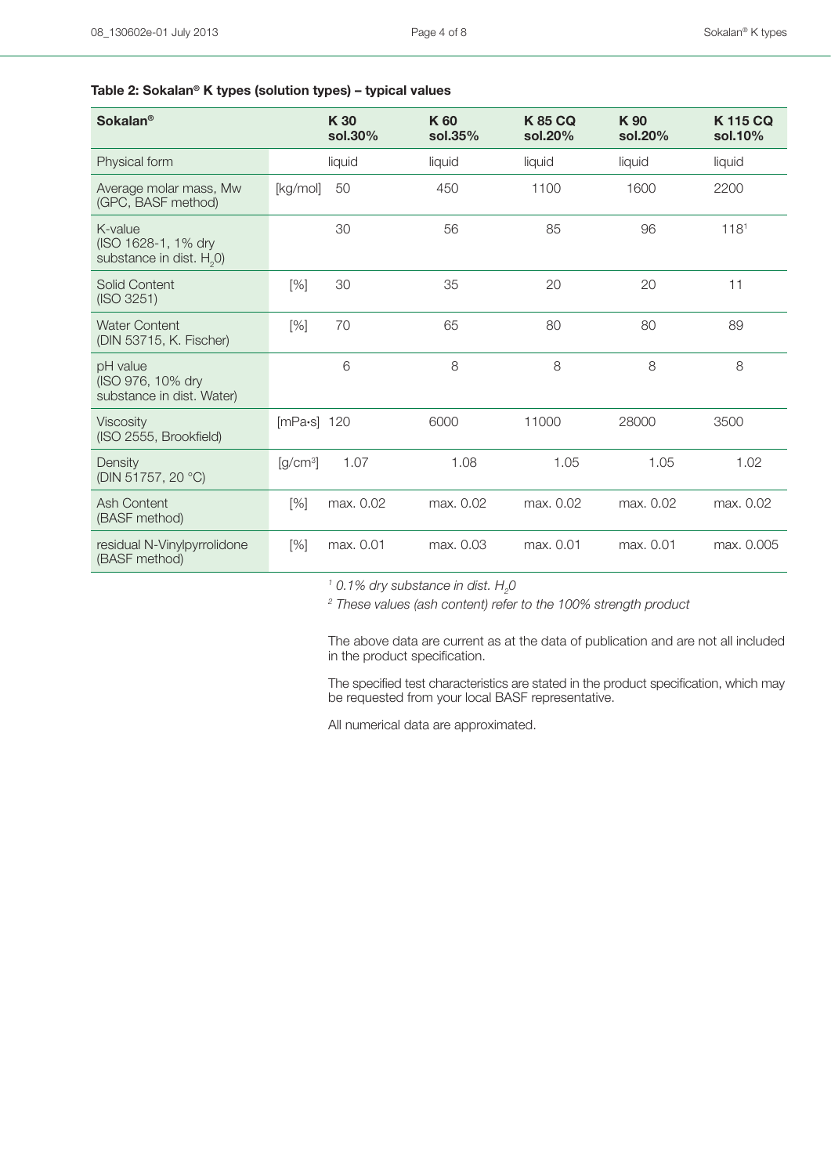### **Table 2: Sokalan® K types (solution types) – typical values**

| <b>Sokalan<sup>®</sup></b>                                   |                 | K 30<br>sol.30% | K 60<br>sol.35% | <b>K85 CQ</b><br>sol.20% | K 90<br>sol.20% | <b>K115 CQ</b><br>sol.10% |
|--------------------------------------------------------------|-----------------|-----------------|-----------------|--------------------------|-----------------|---------------------------|
| Physical form                                                |                 | liquid          | liquid          | liquid                   | liquid          | liquid                    |
| Average molar mass, Mw<br>(GPC, BASF method)                 | [kg/mol]        | 50              | 450             | 1100                     | 1600            | 2200                      |
| K-value<br>(ISO 1628-1, 1% dry<br>substance in dist. $H20$ ) |                 | 30              | 56              | 85                       | 96              | 118 <sup>1</sup>          |
| Solid Content<br>(ISO 3251)                                  | [%]             | 30              | 35              | 20                       | 20              | 11                        |
| <b>Water Content</b><br>(DIN 53715, K. Fischer)              | [%]             | 70              | 65              | 80                       | 80              | 89                        |
| pH value<br>(ISO 976, 10% dry<br>substance in dist. Water)   |                 | 6               | 8               | 8                        | 8               | 8                         |
| <b>Viscosity</b><br>(ISO 2555, Brookfield)                   | [ $mPa·s$ ] 120 |                 | 6000            | 11000                    | 28000           | 3500                      |
| Density<br>(DIN 51757, 20 °C)                                | $[g/cm^3]$      | 1.07            | 1.08            | 1.05                     | 1.05            | 1.02                      |
| Ash Content<br>(BASF method)                                 | [%]             | max. 0.02       | max. 0.02       | max. 0.02                | max. 0.02       | max. 0.02                 |
| residual N-Vinylpyrrolidone<br>(BASF method)                 | [%]             | max. 0.01       | max. 0.03       | max. 0.01                | max. 0.01       | max. 0.005                |

 $^{\prime}$  0.1% dry substance in dist.  $H_{\rm 2}$ 0

<sup>2</sup> These values (ash content) refer to the 100% strength product

The above data are current as at the data of publication and are not all included in the product specification.

The specified test characteristics are stated in the product specification, which may be requested from your local BASF representative.

All numerical data are approximated.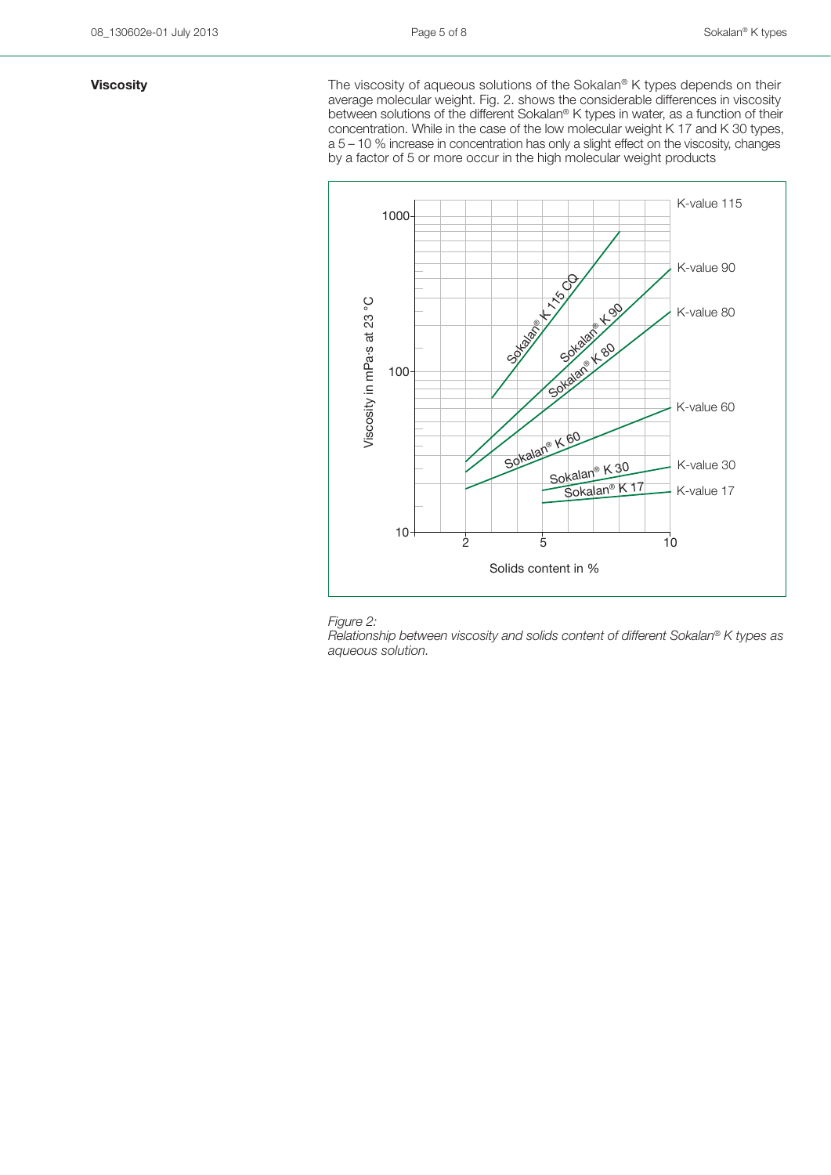**Viscosity Viscosity The viscosity of aqueous solutions of the Sokalan<sup>®</sup> K types depends on their** average molecular weight. Fig. 2. shows the considerable differences in viscosity between solutions of the different Sokalan® K types in water, as a function of their concentration. While in the case of the low molecular weight K 17 and K 30 types, a 5 – 10 % increase in concentration has only a slight effect on the viscosity, changes by a factor of 5 or more occur in the high molecular weight products





*Relationship between viscosity and solids content of different Sokalan® K types as aqueous solution.*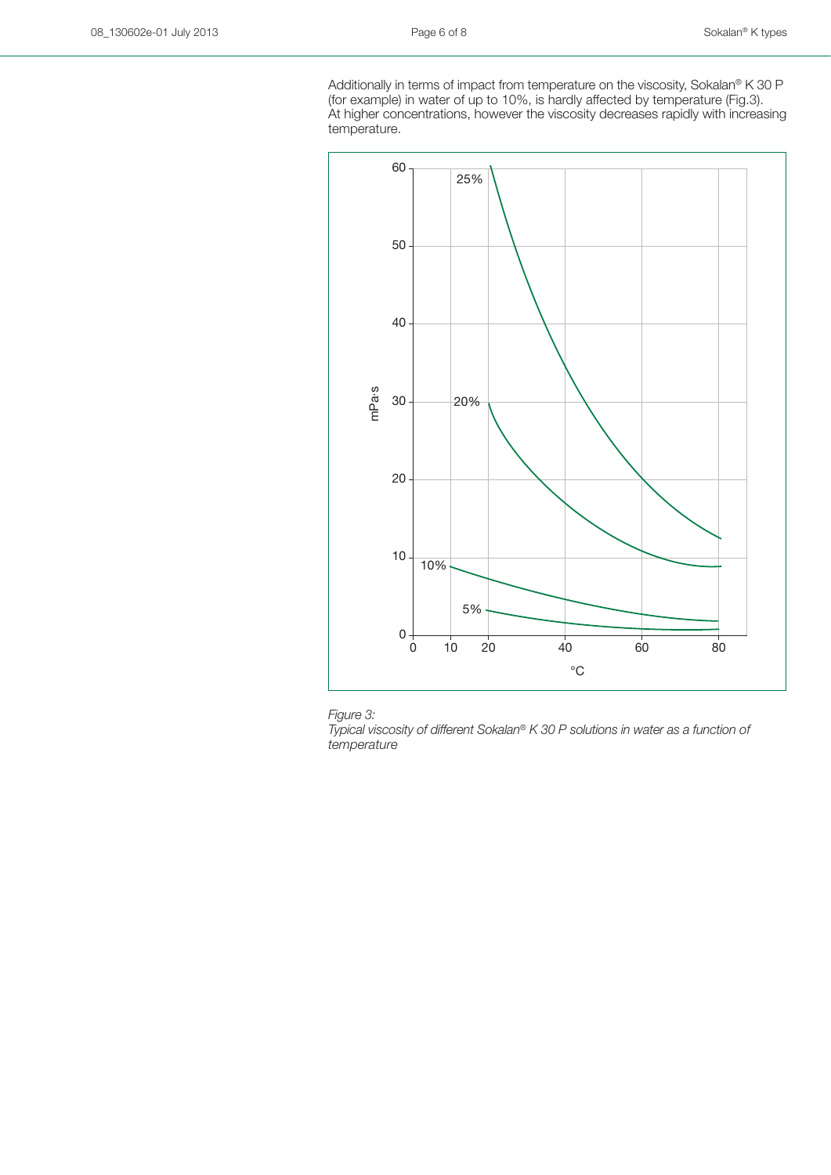Additionally in terms of impact from temperature on the viscosity, Sokalan® K 30 P (for example) in water of up to 10%, is hardly affected by temperature (Fig.3). At higher concentrations, however the viscosity decreases rapidly with increasing temperature.





*Typical viscosity of different Sokalan® K 30 P solutions in water as a function of temperature*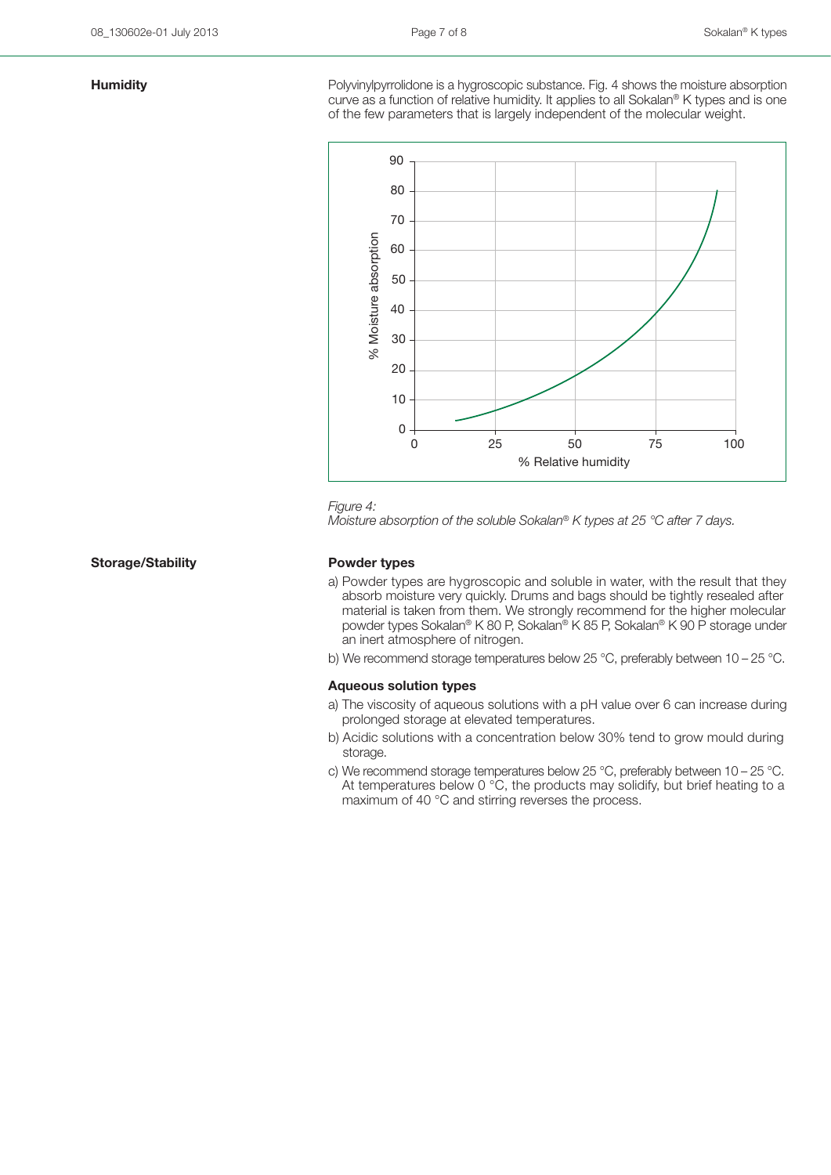**Humidity Example 3** Polyvinylpyrrolidone is a hygroscopic substance. Fig. 4 shows the moisture absorption curve as a function of relative humidity. It applies to all Sokalan® K types and is one of the few parameters that is largely independent of the molecular weight.



### *Figure 4:*

*Moisture absorption of the soluble Sokalan® K types at 25 °C after 7 days.*

### **Storage/Stability Powder types**

- a) Powder types are hygroscopic and soluble in water, with the result that they absorb moisture very quickly. Drums and bags should be tightly resealed after material is taken from them. We strongly recommend for the higher molecular powder types Sokalan® K 80 P, Sokalan® K 85 P, Sokalan® K 90 P storage under an inert atmosphere of nitrogen.
- b) We recommend storage temperatures below 25 °C, preferably between 10 25 °C.

### **Aqueous solution types**

- a) The viscosity of aqueous solutions with a pH value over 6 can increase during prolonged storage at elevated temperatures.
- b) Acidic solutions with a concentration below 30% tend to grow mould during storage.
- c) We recommend storage temperatures below 25 °C, preferably between 10 25 °C. At temperatures below 0  $^{\circ}$ C, the products may solidify, but brief heating to a maximum of 40 °C and stirring reverses the process.